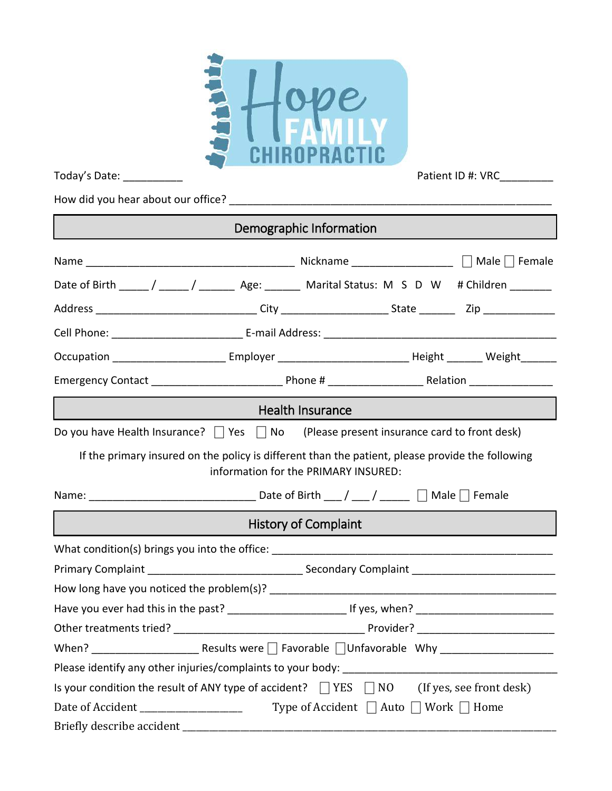

How did you hear about our office? \_\_\_\_\_\_\_\_\_\_\_\_\_\_\_\_\_\_\_\_\_\_\_\_\_\_\_\_\_\_\_\_\_\_\_\_\_\_\_\_\_\_\_\_\_\_\_\_\_\_\_\_\_\_

| Demographic Information                                                                                                                  |  |  |  |  |  |  |  |
|------------------------------------------------------------------------------------------------------------------------------------------|--|--|--|--|--|--|--|
|                                                                                                                                          |  |  |  |  |  |  |  |
| Date of Birth _____/ _____/ ________ Age: _______ Marital Status: M S D W # Children _______                                             |  |  |  |  |  |  |  |
|                                                                                                                                          |  |  |  |  |  |  |  |
|                                                                                                                                          |  |  |  |  |  |  |  |
| Occupation ___________________________Employer _______________________________Height _________ Weight ________                           |  |  |  |  |  |  |  |
|                                                                                                                                          |  |  |  |  |  |  |  |
| Health Insurance                                                                                                                         |  |  |  |  |  |  |  |
| Do you have Health Insurance? $\Box$ Yes $\Box$ No (Please present insurance card to front desk)                                         |  |  |  |  |  |  |  |
| If the primary insured on the policy is different than the patient, please provide the following<br>information for the PRIMARY INSURED: |  |  |  |  |  |  |  |
|                                                                                                                                          |  |  |  |  |  |  |  |
| <b>History of Complaint</b>                                                                                                              |  |  |  |  |  |  |  |
| What condition(s) brings you into the office: ___________________________________                                                        |  |  |  |  |  |  |  |
|                                                                                                                                          |  |  |  |  |  |  |  |
|                                                                                                                                          |  |  |  |  |  |  |  |
|                                                                                                                                          |  |  |  |  |  |  |  |
|                                                                                                                                          |  |  |  |  |  |  |  |
|                                                                                                                                          |  |  |  |  |  |  |  |
| Please identify any other injuries/complaints to your body:                                                                              |  |  |  |  |  |  |  |
| Is your condition the result of ANY type of accident? $\Box$ YES $\Box$ NO (If yes, see front desk)                                      |  |  |  |  |  |  |  |
| Type of Accident $\Box$ Auto $\Box$ Work $\Box$ Home<br>Date of Accident _____________________                                           |  |  |  |  |  |  |  |
| Briefly describe accident                                                                                                                |  |  |  |  |  |  |  |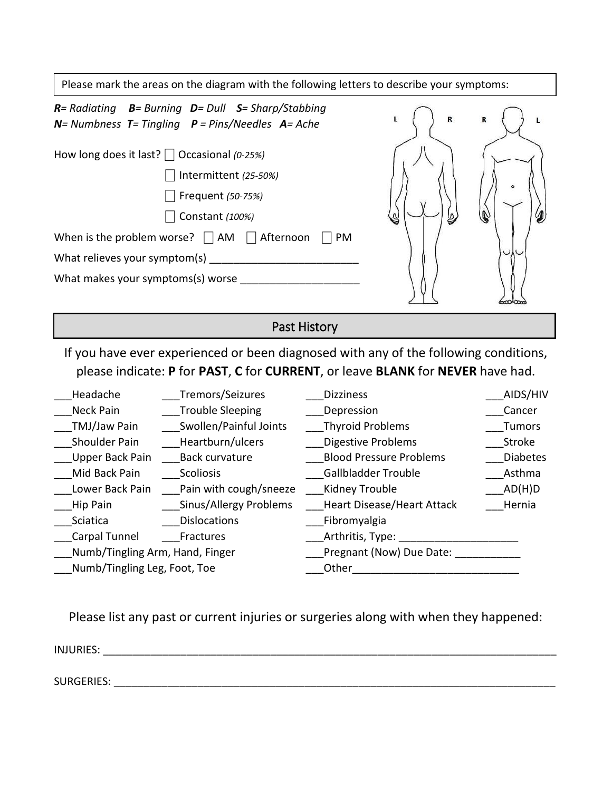| Please mark the areas on the diagram with the following letters to describe your symptoms:                                                                                                                                                                                                                                                                                                                                                              |                                                                                                                                                 |                                                                                                                                                                                                                                                                                                                                                                                      |                                                                                                 |  |  |
|---------------------------------------------------------------------------------------------------------------------------------------------------------------------------------------------------------------------------------------------------------------------------------------------------------------------------------------------------------------------------------------------------------------------------------------------------------|-------------------------------------------------------------------------------------------------------------------------------------------------|--------------------------------------------------------------------------------------------------------------------------------------------------------------------------------------------------------------------------------------------------------------------------------------------------------------------------------------------------------------------------------------|-------------------------------------------------------------------------------------------------|--|--|
| $R$ = Radiating $B$ = Burning $D$ = Dull $S$ = Sharp/Stabbing<br>$N=$ Numbness $T=$ Tingling $P=$ Pins/Needles $A=$ Ache                                                                                                                                                                                                                                                                                                                                |                                                                                                                                                 | R<br>L                                                                                                                                                                                                                                                                                                                                                                               | R                                                                                               |  |  |
| How long does it last? $\Box$ Occasional (0-25%)<br>Intermittent (25-50%)<br>Frequent (50-75%)<br>Constant (100%)<br>When is the problem worse? $\Box$ AM $\Box$ Afternoon<br>What makes your symptoms(s) worse __                                                                                                                                                                                                                                      | PM                                                                                                                                              |                                                                                                                                                                                                                                                                                                                                                                                      |                                                                                                 |  |  |
| Past History                                                                                                                                                                                                                                                                                                                                                                                                                                            |                                                                                                                                                 |                                                                                                                                                                                                                                                                                                                                                                                      |                                                                                                 |  |  |
| If you have ever experienced or been diagnosed with any of the following conditions,<br>please indicate: P for PAST, C for CURRENT, or leave BLANK for NEVER have had.                                                                                                                                                                                                                                                                                  |                                                                                                                                                 |                                                                                                                                                                                                                                                                                                                                                                                      |                                                                                                 |  |  |
| Tremors/Seizures<br>Headache<br>Neck Pain<br><b>Trouble Sleeping</b><br>Swollen/Painful Joints<br>TMJ/Jaw Pain<br>Shoulder Pain<br>Heartburn/ulcers<br>Upper Back Pain<br><b>Back curvature</b><br>Mid Back Pain<br>Scoliosis<br>Pain with cough/sneeze<br>Lower Back Pain<br>___Sinus/Allergy Problems<br>Hip Pain<br>Sciatica<br><b>Dislocations</b><br>Carpal Tunnel<br>Fractures<br>Numb/Tingling Arm, Hand, Finger<br>Numb/Tingling Leg, Foot, Toe | <b>Dizziness</b><br>Depression<br>Thyroid Problems<br><b>Digestive Problems</b><br><b>Gallbladder Trouble</b><br>Kidney Trouble<br>Fibromyalgia | <b>Blood Pressure Problems</b><br><b>Heart Disease/Heart Attack</b><br>Arthritis, Type: _________________________<br>Pregnant (Now) Due Date: [19]<br>Other the contract of the contract of the contract of the contract of the contract of the contract of the contract of the contract of the contract of the contract of the contract of the contract of the contract of the cont | AIDS/HIV<br>Cancer<br><b>Tumors</b><br>Stroke<br><b>Diabetes</b><br>Asthma<br>_AD(H)D<br>Hernia |  |  |

Please list any past or current injuries or surgeries along with when they happened:

INJURIES:

SURGERIES: \_\_\_\_\_\_\_\_\_\_\_\_\_\_\_\_\_\_\_\_\_\_\_\_\_\_\_\_\_\_\_\_\_\_\_\_\_\_\_\_\_\_\_\_\_\_\_\_\_\_\_\_\_\_\_\_\_\_\_\_\_\_\_\_\_\_\_\_\_\_\_\_\_\_